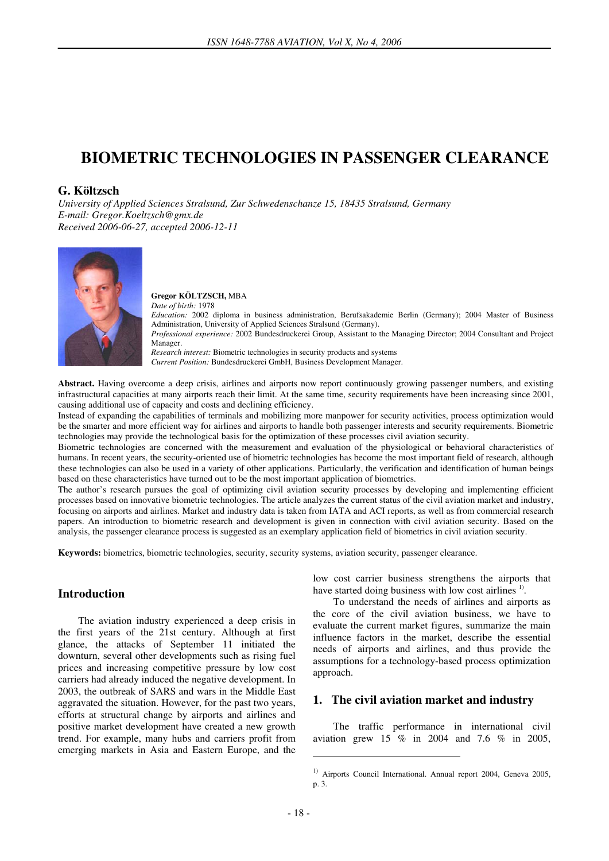# **BIOMETRIC TECHNOLOGIES IN PASSENGER CLEARANCE**

### **G. Költzsch**

*University of Applied Sciences Stralsund, Zur Schwedenschanze 15, 18435 Stralsund, Germany E-mail: Gregor.Koeltzsch@gmx.de Received 2006-06-27, accepted 2006-12-11* 



#### **Gregor KÖLTZSCH,** MBA *Date of birth:* 1978

*Education:* 2002 diploma in business administration, Berufsakademie Berlin (Germany); 2004 Master of Business Administration, University of Applied Sciences Stralsund (Germany).

*Professional experience:* 2002 Bundesdruckerei Group, Assistant to the Managing Director; 2004 Consultant and Project Manager.

*Research interest:* Biometric technologies in security products and systems *Current Position:* Bundesdruckerei GmbH, Business Development Manager.

**Abstract.** Having overcome a deep crisis, airlines and airports now report continuously growing passenger numbers, and existing infrastructural capacities at many airports reach their limit. At the same time, security requirements have been increasing since 2001, causing additional use of capacity and costs and declining efficiency.

Instead of expanding the capabilities of terminals and mobilizing more manpower for security activities, process optimization would be the smarter and more efficient way for airlines and airports to handle both passenger interests and security requirements. Biometric technologies may provide the technological basis for the optimization of these processes civil aviation security.

Biometric technologies are concerned with the measurement and evaluation of the physiological or behavioral characteristics of humans. In recent years, the security-oriented use of biometric technologies has become the most important field of research, although these technologies can also be used in a variety of other applications. Particularly, the verification and identification of human beings based on these characteristics have turned out to be the most important application of biometrics.

The author's research pursues the goal of optimizing civil aviation security processes by developing and implementing efficient processes based on innovative biometric technologies. The article analyzes the current status of the civil aviation market and industry, focusing on airports and airlines. Market and industry data is taken from IATA and ACI reports, as well as from commercial research papers. An introduction to biometric research and development is given in connection with civil aviation security. Based on the analysis, the passenger clearance process is suggested as an exemplary application field of biometrics in civil aviation security.

**Keywords:** biometrics, biometric technologies, security, security systems, aviation security, passenger clearance.

## **Introduction**

The aviation industry experienced a deep crisis in the first years of the 21st century. Although at first glance, the attacks of September 11 initiated the downturn, several other developments such as rising fuel prices and increasing competitive pressure by low cost carriers had already induced the negative development. In 2003, the outbreak of SARS and wars in the Middle East aggravated the situation. However, for the past two years, efforts at structural change by airports and airlines and positive market development have created a new growth trend. For example, many hubs and carriers profit from emerging markets in Asia and Eastern Europe, and the low cost carrier business strengthens the airports that have started doing business with low cost airlines<sup>1)</sup>.

To understand the needs of airlines and airports as the core of the civil aviation business, we have to evaluate the current market figures, summarize the main influence factors in the market, describe the essential needs of airports and airlines, and thus provide the assumptions for a technology-based process optimization approach.

### **1. The civil aviation market and industry**

The traffic performance in international civil aviation grew 15  $\%$  in 2004 and 7.6  $\%$  in 2005,

<u>.</u>

<sup>&</sup>lt;sup>1)</sup> Airports Council International. Annual report 2004, Geneva 2005, p. 3.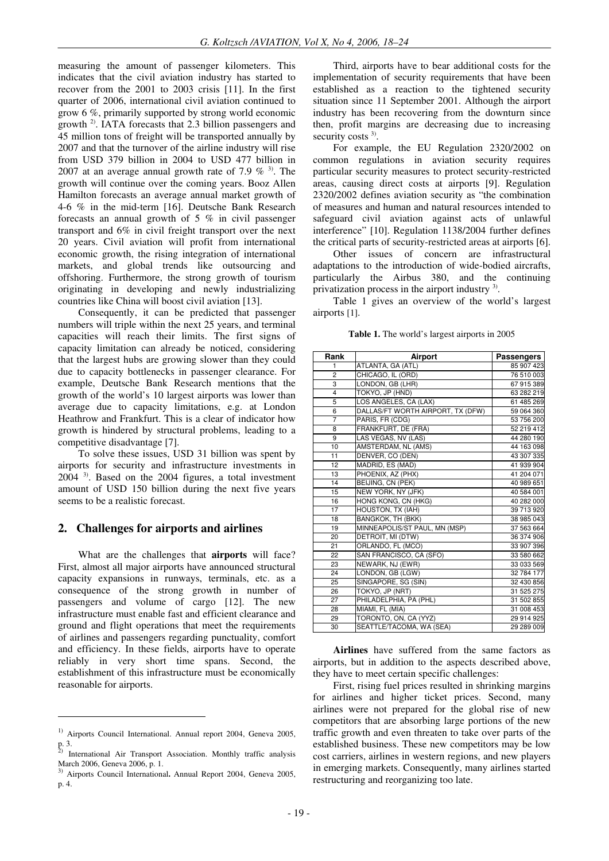measuring the amount of passenger kilometers. This indicates that the civil aviation industry has started to recover from the 2001 to 2003 crisis [11]. In the first quarter of 2006, international civil aviation continued to grow 6 %, primarily supported by strong world economic growth 2). IATA forecasts that 2.3 billion passengers and 45 million tons of freight will be transported annually by 2007 and that the turnover of the airline industry will rise from USD 379 billion in 2004 to USD 477 billion in 2007 at an average annual growth rate of 7.9  $\%$  <sup>3)</sup>. The growth will continue over the coming years. Booz Allen Hamilton forecasts an average annual market growth of 4-6 % in the mid-term [16]. Deutsche Bank Research forecasts an annual growth of 5 % in civil passenger transport and 6% in civil freight transport over the next 20 years. Civil aviation will profit from international economic growth, the rising integration of international markets, and global trends like outsourcing and offshoring. Furthermore, the strong growth of tourism originating in developing and newly industrializing countries like China will boost civil aviation [13].

Consequently, it can be predicted that passenger numbers will triple within the next 25 years, and terminal capacities will reach their limits. The first signs of capacity limitation can already be noticed, considering that the largest hubs are growing slower than they could due to capacity bottlenecks in passenger clearance. For example, Deutsche Bank Research mentions that the growth of the world's 10 largest airports was lower than average due to capacity limitations, e.g. at London Heathrow and Frankfurt. This is a clear of indicator how growth is hindered by structural problems, leading to a competitive disadvantage [7].

To solve these issues, USD 31 billion was spent by airports for security and infrastructure investments in 2004 3). Based on the 2004 figures, a total investment amount of USD 150 billion during the next five years seems to be a realistic forecast.

### **2. Challenges for airports and airlines**

What are the challenges that **airports** will face? First, almost all major airports have announced structural capacity expansions in runways, terminals, etc. as a consequence of the strong growth in number of passengers and volume of cargo [12]. The new infrastructure must enable fast and efficient clearance and ground and flight operations that meet the requirements of airlines and passengers regarding punctuality, comfort and efficiency. In these fields, airports have to operate reliably in very short time spans. Second, the establishment of this infrastructure must be economically reasonable for airports.

 $\overline{a}$ 

Third, airports have to bear additional costs for the implementation of security requirements that have been established as a reaction to the tightened security situation since 11 September 2001. Although the airport industry has been recovering from the downturn since then, profit margins are decreasing due to increasing security costs<sup>3)</sup>.

For example, the EU Regulation 2320/2002 on common regulations in aviation security requires particular security measures to protect security-restricted areas, causing direct costs at airports [9]. Regulation 2320/2002 defines aviation security as "the combination of measures and human and natural resources intended to safeguard civil aviation against acts of unlawful interference" [10]. Regulation 1138/2004 further defines the critical parts of security-restricted areas at airports [6].

Other issues of concern are infrastructural adaptations to the introduction of wide-bodied aircrafts, particularly the Airbus 380, and the continuing privatization process in the airport industry<sup>3)</sup>.

Table 1 gives an overview of the world's largest airports [1].

**Table 1.** The world's largest airports in 2005

| Rank           | Airport                           | <b>Passengers</b> |
|----------------|-----------------------------------|-------------------|
| 1              | ATLANTA, GA (ATL)                 | 85 907 423        |
| $\overline{2}$ | CHICAGO, IL (ORD)                 | 76 510 003        |
| 3              | LONDON, GB (LHR)                  | 67 915 389        |
| 4              | TOKYO, JP (HND)                   | 63 282 219        |
| 5              | LOS ANGELES, CA (LAX)             | 61 485 269        |
| $\overline{6}$ | DALLAS/FT WORTH AIRPORT, TX (DFW) | 59 064 360        |
| $\overline{7}$ | PARIS, FR (CDG)                   | 53 756 200        |
| 8              | FRANKFURT, DE (FRA)               | 52 219 412        |
| 9              | LAS VEGAS, NV (LAS)               | 44 280 190        |
| 10             | AMSTERDAM, NL (AMS)               | 44 163 098        |
| 11             | DENVER, CO (DEN)                  | 43 307 335        |
| 12             | MADRID, ES (MAD)                  | 41 939 904        |
| 13             | PHOENIX, AZ (PHX)                 | 41 204 071        |
| 14             | BEIJING, CN (PEK)                 | 40 989 651        |
| 15             | NEW YORK, NY (JFK)                | 40 584 001        |
| 16             | HONG KONG, CN (HKG)               | 40 282 000        |
| 17             | HOUSTON, TX (IAH)                 | 39 713 920        |
| 18             | <b>BANGKOK, TH (BKK)</b>          | 38 985 043        |
| 19             | MINNEAPOLIS/ST PAUL, MN (MSP)     | 37 563 664        |
| 20             | DETROIT, MI (DTW)                 | 36 374 906        |
| 21             | ORLANDO, FL (MCO)                 | 33 907 396        |
| 22             | SAN FRANCISCO, CA (SFO)           | 33 580 662        |
| 23             | NEWARK, NJ (EWR)                  | 33 033 569        |
| 24             | LONDON, GB (LGW)                  | 32 784 177        |
| 25             | SINGAPORE, SG (SIN)               | 32 430 856        |
| 26             | TOKYO, JP (NRT)                   | 31 525 275        |
| 27             | PHILADELPHIA, PA (PHL)            | 31 502 855        |
| 28             | MIAMI, FL (MIA)                   | 31 008 453        |
| 29             | TORONTO, ON, CA (YYZ)             | 29 914 925        |
| 30             | SEATTLE/TACOMA, WA (SEA)          | 29 289 009        |

**Airlines** have suffered from the same factors as airports, but in addition to the aspects described above, they have to meet certain specific challenges:

First, rising fuel prices resulted in shrinking margins for airlines and higher ticket prices. Second, many airlines were not prepared for the global rise of new competitors that are absorbing large portions of the new traffic growth and even threaten to take over parts of the established business. These new competitors may be low cost carriers, airlines in western regions, and new players in emerging markets. Consequently, many airlines started restructuring and reorganizing too late.

<sup>&</sup>lt;sup>1)</sup> Airports Council International. Annual report 2004, Geneva 2005, p. 3. 2) International Air Transport Association. Monthly traffic analysis

March 2006, Geneva 2006, p. 1.

<sup>3)</sup> Airports Council International**.** Annual Report 2004, Geneva 2005, p. 4.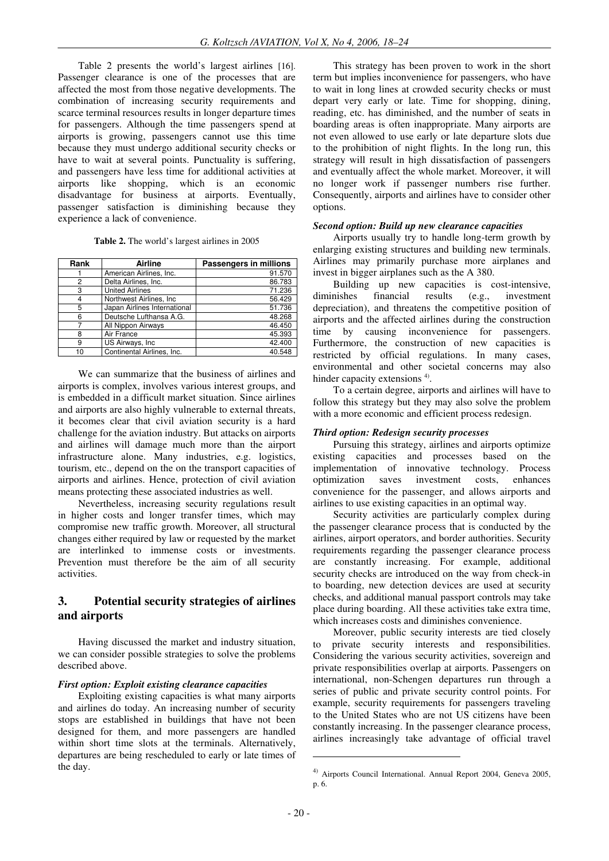Table 2 presents the world's largest airlines [16]. Passenger clearance is one of the processes that are affected the most from those negative developments. The combination of increasing security requirements and scarce terminal resources results in longer departure times for passengers. Although the time passengers spend at airports is growing, passengers cannot use this time because they must undergo additional security checks or have to wait at several points. Punctuality is suffering, and passengers have less time for additional activities at airports like shopping, which is an economic disadvantage for business at airports. Eventually, passenger satisfaction is diminishing because they experience a lack of convenience.

| Rank | Airline                      | Passengers in millions |
|------|------------------------------|------------------------|
|      | American Airlines, Inc.      | 91.570                 |
| 2    | Delta Airlines, Inc.         | 86.783                 |
| 3    | <b>United Airlines</b>       | 71.236                 |
|      | Northwest Airlines. Inc.     | 56.429                 |
| 5    | Japan Airlines International | 51.736                 |
| 6    | Deutsche Lufthansa A.G.      | 48.268                 |
|      | All Nippon Airways           | 46.450                 |
| 8    | Air France                   | 45.393                 |
| 9    | US Airways, Inc.             | 42.400                 |
| 10   | Continental Airlines, Inc.   | 40.548                 |

We can summarize that the business of airlines and airports is complex, involves various interest groups, and is embedded in a difficult market situation. Since airlines and airports are also highly vulnerable to external threats, it becomes clear that civil aviation security is a hard challenge for the aviation industry. But attacks on airports and airlines will damage much more than the airport infrastructure alone. Many industries, e.g. logistics, tourism, etc., depend on the on the transport capacities of airports and airlines. Hence, protection of civil aviation means protecting these associated industries as well.

Nevertheless, increasing security regulations result in higher costs and longer transfer times, which may compromise new traffic growth. Moreover, all structural changes either required by law or requested by the market are interlinked to immense costs or investments. Prevention must therefore be the aim of all security activities.

# **3. Potential security strategies of airlines and airports**

Having discussed the market and industry situation, we can consider possible strategies to solve the problems described above.

#### *First option: Exploit existing clearance capacities*

Exploiting existing capacities is what many airports and airlines do today. An increasing number of security stops are established in buildings that have not been designed for them, and more passengers are handled within short time slots at the terminals. Alternatively, departures are being rescheduled to early or late times of the day.

This strategy has been proven to work in the short term but implies inconvenience for passengers, who have to wait in long lines at crowded security checks or must depart very early or late. Time for shopping, dining, reading, etc. has diminished, and the number of seats in boarding areas is often inappropriate. Many airports are not even allowed to use early or late departure slots due to the prohibition of night flights. In the long run, this strategy will result in high dissatisfaction of passengers and eventually affect the whole market. Moreover, it will no longer work if passenger numbers rise further. Consequently, airports and airlines have to consider other options.

#### *Second option: Build up new clearance capacities*

Airports usually try to handle long-term growth by enlarging existing structures and building new terminals. Airlines may primarily purchase more airplanes and invest in bigger airplanes such as the A 380.

Building up new capacities is cost-intensive, diminishes financial results (e.g., investment depreciation), and threatens the competitive position of airports and the affected airlines during the construction time by causing inconvenience for passengers. Furthermore, the construction of new capacities is restricted by official regulations. In many cases, environmental and other societal concerns may also hinder capacity extensions<sup>4)</sup>.

To a certain degree, airports and airlines will have to follow this strategy but they may also solve the problem with a more economic and efficient process redesign.

#### *Third option: Redesign security processes*

Pursuing this strategy, airlines and airports optimize existing capacities and processes based on the implementation of innovative technology. Process optimization saves investment costs, enhances convenience for the passenger, and allows airports and airlines to use existing capacities in an optimal way.

Security activities are particularly complex during the passenger clearance process that is conducted by the airlines, airport operators, and border authorities. Security requirements regarding the passenger clearance process are constantly increasing. For example, additional security checks are introduced on the way from check-in to boarding, new detection devices are used at security checks, and additional manual passport controls may take place during boarding. All these activities take extra time, which increases costs and diminishes convenience.

Moreover, public security interests are tied closely to private security interests and responsibilities. Considering the various security activities, sovereign and private responsibilities overlap at airports. Passengers on international, non-Schengen departures run through a series of public and private security control points. For example, security requirements for passengers traveling to the United States who are not US citizens have been constantly increasing. In the passenger clearance process, airlines increasingly take advantage of official travel

<u>.</u>

<sup>4)</sup> Airports Council International. Annual Report 2004, Geneva 2005, p. 6.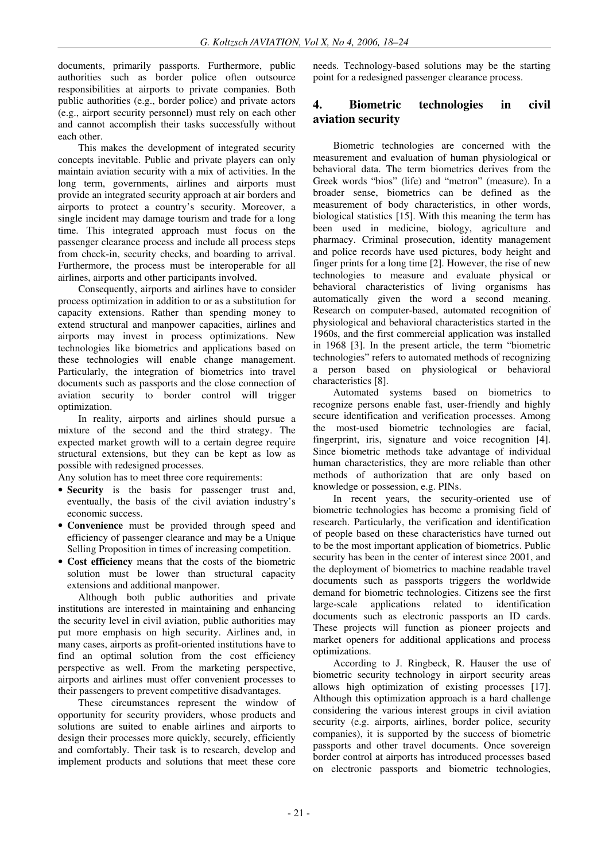documents, primarily passports. Furthermore, public authorities such as border police often outsource responsibilities at airports to private companies. Both public authorities (e.g., border police) and private actors (e.g., airport security personnel) must rely on each other and cannot accomplish their tasks successfully without each other.

This makes the development of integrated security concepts inevitable. Public and private players can only maintain aviation security with a mix of activities. In the long term, governments, airlines and airports must provide an integrated security approach at air borders and airports to protect a country's security. Moreover, a single incident may damage tourism and trade for a long time. This integrated approach must focus on the passenger clearance process and include all process steps from check-in, security checks, and boarding to arrival. Furthermore, the process must be interoperable for all airlines, airports and other participants involved.

Consequently, airports and airlines have to consider process optimization in addition to or as a substitution for capacity extensions. Rather than spending money to extend structural and manpower capacities, airlines and airports may invest in process optimizations. New technologies like biometrics and applications based on these technologies will enable change management. Particularly, the integration of biometrics into travel documents such as passports and the close connection of aviation security to border control will trigger optimization.

In reality, airports and airlines should pursue a mixture of the second and the third strategy. The expected market growth will to a certain degree require structural extensions, but they can be kept as low as possible with redesigned processes.

Any solution has to meet three core requirements:

- **Security** is the basis for passenger trust and, eventually, the basis of the civil aviation industry's economic success.
- **Convenience** must be provided through speed and efficiency of passenger clearance and may be a Unique Selling Proposition in times of increasing competition.
- **Cost efficiency** means that the costs of the biometric solution must be lower than structural capacity extensions and additional manpower.

Although both public authorities and private institutions are interested in maintaining and enhancing the security level in civil aviation, public authorities may put more emphasis on high security. Airlines and, in many cases, airports as profit-oriented institutions have to find an optimal solution from the cost efficiency perspective as well. From the marketing perspective, airports and airlines must offer convenient processes to their passengers to prevent competitive disadvantages.

These circumstances represent the window of opportunity for security providers, whose products and solutions are suited to enable airlines and airports to design their processes more quickly, securely, efficiently and comfortably. Their task is to research, develop and implement products and solutions that meet these core

needs. Technology-based solutions may be the starting point for a redesigned passenger clearance process.

# **4. Biometric technologies in civil aviation security**

Biometric technologies are concerned with the measurement and evaluation of human physiological or behavioral data. The term biometrics derives from the Greek words "bios" (life) and "metron" (measure). In a broader sense, biometrics can be defined as the measurement of body characteristics, in other words, biological statistics [15]. With this meaning the term has been used in medicine, biology, agriculture and pharmacy. Criminal prosecution, identity management and police records have used pictures, body height and finger prints for a long time [2]. However, the rise of new technologies to measure and evaluate physical or behavioral characteristics of living organisms has automatically given the word a second meaning. Research on computer-based, automated recognition of physiological and behavioral characteristics started in the 1960s, and the first commercial application was installed in 1968 [3]. In the present article, the term "biometric technologies" refers to automated methods of recognizing a person based on physiological or behavioral characteristics [8].

Automated systems based on biometrics to recognize persons enable fast, user-friendly and highly secure identification and verification processes. Among the most-used biometric technologies are facial, fingerprint, iris, signature and voice recognition [4]. Since biometric methods take advantage of individual human characteristics, they are more reliable than other methods of authorization that are only based on knowledge or possession, e.g. PINs.

In recent years, the security-oriented use of biometric technologies has become a promising field of research. Particularly, the verification and identification of people based on these characteristics have turned out to be the most important application of biometrics. Public security has been in the center of interest since 2001, and the deployment of biometrics to machine readable travel documents such as passports triggers the worldwide demand for biometric technologies. Citizens see the first large-scale applications related to identification documents such as electronic passports an ID cards. These projects will function as pioneer projects and market openers for additional applications and process optimizations.

According to J. Ringbeck, R. Hauser the use of biometric security technology in airport security areas allows high optimization of existing processes [17]. Although this optimization approach is a hard challenge considering the various interest groups in civil aviation security (e.g. airports, airlines, border police, security companies), it is supported by the success of biometric passports and other travel documents. Once sovereign border control at airports has introduced processes based on electronic passports and biometric technologies,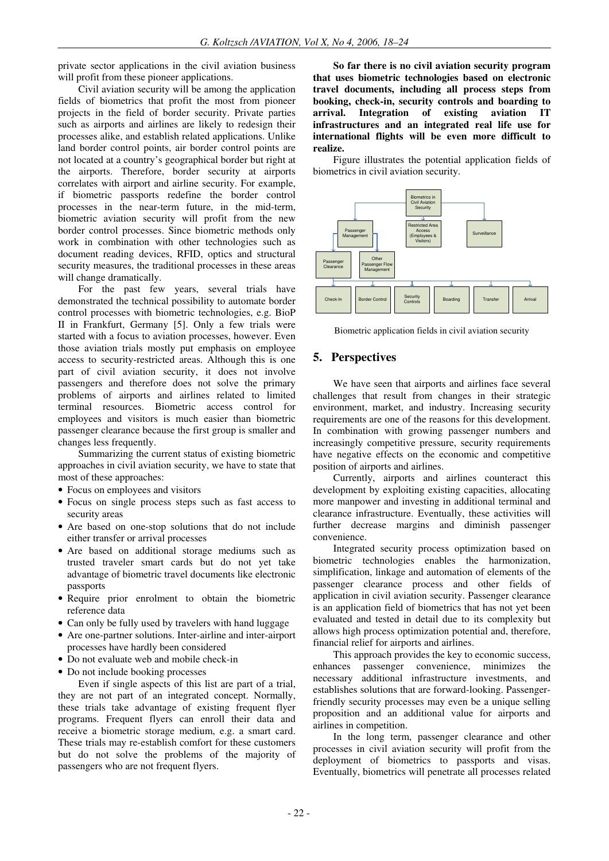private sector applications in the civil aviation business will profit from these pioneer applications.

Civil aviation security will be among the application fields of biometrics that profit the most from pioneer projects in the field of border security. Private parties such as airports and airlines are likely to redesign their processes alike, and establish related applications. Unlike land border control points, air border control points are not located at a country's geographical border but right at the airports. Therefore, border security at airports correlates with airport and airline security. For example, if biometric passports redefine the border control processes in the near-term future, in the mid-term, biometric aviation security will profit from the new border control processes. Since biometric methods only work in combination with other technologies such as document reading devices, RFID, optics and structural security measures, the traditional processes in these areas will change dramatically.

For the past few years, several trials have demonstrated the technical possibility to automate border control processes with biometric technologies, e.g. BioP II in Frankfurt, Germany [5]. Only a few trials were started with a focus to aviation processes, however. Even those aviation trials mostly put emphasis on employee access to security-restricted areas. Although this is one part of civil aviation security, it does not involve passengers and therefore does not solve the primary problems of airports and airlines related to limited terminal resources. Biometric access control for employees and visitors is much easier than biometric passenger clearance because the first group is smaller and changes less frequently.

Summarizing the current status of existing biometric approaches in civil aviation security, we have to state that most of these approaches:

- Focus on employees and visitors
- Focus on single process steps such as fast access to security areas
- Are based on one-stop solutions that do not include either transfer or arrival processes
- Are based on additional storage mediums such as trusted traveler smart cards but do not yet take advantage of biometric travel documents like electronic passports
- Require prior enrolment to obtain the biometric reference data
- Can only be fully used by travelers with hand luggage
- Are one-partner solutions. Inter-airline and inter-airport processes have hardly been considered
- Do not evaluate web and mobile check-in
- Do not include booking processes

Even if single aspects of this list are part of a trial, they are not part of an integrated concept. Normally, these trials take advantage of existing frequent flyer programs. Frequent flyers can enroll their data and receive a biometric storage medium, e.g. a smart card. These trials may re-establish comfort for these customers but do not solve the problems of the majority of passengers who are not frequent flyers.

**So far there is no civil aviation security program that uses biometric technologies based on electronic travel documents, including all process steps from booking, check-in, security controls and boarding to arrival. Integration of existing aviation IT infrastructures and an integrated real life use for international flights will be even more difficult to realize.** 

Figure illustrates the potential application fields of biometrics in civil aviation security.



Biometric application fields in civil aviation security

### **5. Perspectives**

We have seen that airports and airlines face several challenges that result from changes in their strategic environment, market, and industry. Increasing security requirements are one of the reasons for this development. In combination with growing passenger numbers and increasingly competitive pressure, security requirements have negative effects on the economic and competitive position of airports and airlines.

Currently, airports and airlines counteract this development by exploiting existing capacities, allocating more manpower and investing in additional terminal and clearance infrastructure. Eventually, these activities will further decrease margins and diminish passenger convenience.

Integrated security process optimization based on biometric technologies enables the harmonization, simplification, linkage and automation of elements of the passenger clearance process and other fields of application in civil aviation security. Passenger clearance is an application field of biometrics that has not yet been evaluated and tested in detail due to its complexity but allows high process optimization potential and, therefore, financial relief for airports and airlines.

This approach provides the key to economic success, enhances passenger convenience, minimizes the necessary additional infrastructure investments, and establishes solutions that are forward-looking. Passengerfriendly security processes may even be a unique selling proposition and an additional value for airports and airlines in competition.

In the long term, passenger clearance and other processes in civil aviation security will profit from the deployment of biometrics to passports and visas. Eventually, biometrics will penetrate all processes related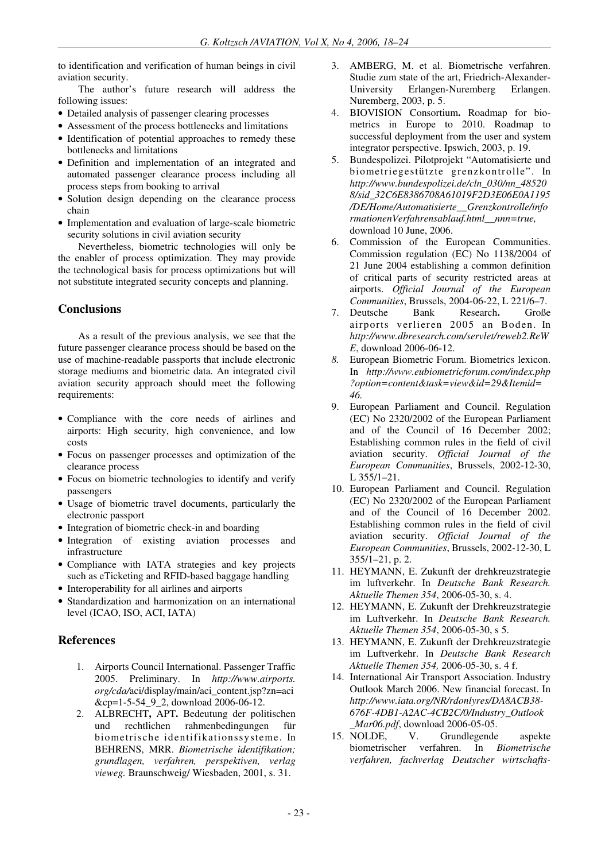to identification and verification of human beings in civil aviation security.

The author's future research will address the following issues:

- Detailed analysis of passenger clearing processes
- Assessment of the process bottlenecks and limitations
- Identification of potential approaches to remedy these bottlenecks and limitations
- Definition and implementation of an integrated and automated passenger clearance process including all process steps from booking to arrival
- Solution design depending on the clearance process chain
- Implementation and evaluation of large-scale biometric security solutions in civil aviation security

Nevertheless, biometric technologies will only be the enabler of process optimization. They may provide the technological basis for process optimizations but will not substitute integrated security concepts and planning.

# **Conclusions**

As a result of the previous analysis, we see that the future passenger clearance process should be based on the use of machine-readable passports that include electronic storage mediums and biometric data. An integrated civil aviation security approach should meet the following requirements:

- Compliance with the core needs of airlines and airports: High security, high convenience, and low costs
- Focus on passenger processes and optimization of the clearance process
- Focus on biometric technologies to identify and verify passengers
- Usage of biometric travel documents, particularly the electronic passport
- Integration of biometric check-in and boarding
- Integration of existing aviation processes and infrastructure
- Compliance with IATA strategies and key projects such as eTicketing and RFID-based baggage handling
- Interoperability for all airlines and airports
- Standardization and harmonization on an international level (ICAO, ISO, ACI, IATA)

# **References**

- 1. Airports Council International. Passenger Traffic 2005. Preliminary. In *http://www.airports. org/cda/*aci/display/main/aci\_content.jsp?zn=aci &cp=1-5-54\_9\_2, download 2006-06-12.
- 2. ALBRECHT**,** APT**.** Bedeutung der politischen und rechtlichen rahmenbedingungen für biometrische identifikationssysteme. In BEHRENS, MRR. *Biometrische identifikation; grundlagen, verfahren, perspektiven, verlag vieweg.* Braunschweig/ Wiesbaden, 2001, s. 31.
- 3. AMBERG, M. et al. Biometrische verfahren. Studie zum state of the art, Friedrich-Alexander-University Erlangen-Nuremberg Erlangen. Nuremberg, 2003, p. 5.
- 4. BIOVISION Consortium**.** Roadmap for biometrics in Europe to 2010. Roadmap to successful deployment from the user and system integrator perspective. Ipswich, 2003, p. 19.
- 5. Bundespolizei. Pilotprojekt "Automatisierte und biometriegestützte grenzkontrolle". In *http://www.bundespolizei.de/cln\_030/nn\_48520 8/sid\_32C6E8386708A61019F2D3E06E0A1195 /DE/Home/Automatisierte\_\_Grenzkontrolle/info rmationenVerfahrensablauf.html\_\_nnn=true,* download 10 June, 2006.
- 6. Commission of the European Communities. Commission regulation (EC) No 1138/2004 of 21 June 2004 establishing a common definition of critical parts of security restricted areas at airports. *Official Journal of the European Communities*, Brussels, 2004-06-22, L 221/6–7.
- 7. Deutsche Bank Research**.** Große airports verlieren 2005 an Boden. In *http://www.dbresearch.com/servlet/reweb2.ReW E*, download 2006-06-12.
- *8.* European Biometric Forum. Biometrics lexicon. In *http://www.eubiometricforum.com/index.php ?option=content&task=view&id=29&Itemid= 46.*
- 9. European Parliament and Council. Regulation (EC) No 2320/2002 of the European Parliament and of the Council of 16 December 2002; Establishing common rules in the field of civil aviation security. *Official Journal of the European Communities*, Brussels, 2002-12-30, L 355/1–21.
- 10. European Parliament and Council. Regulation (EC) No 2320/2002 of the European Parliament and of the Council of 16 December 2002. Establishing common rules in the field of civil aviation security. *Official Journal of the European Communities*, Brussels, 2002-12-30, L 355/1–21, p. 2.
- 11. HEYMANN, E. Zukunft der drehkreuzstrategie im luftverkehr. In *Deutsche Bank Research. Aktuelle Themen 354*, 2006-05-30, s. 4.
- 12. HEYMANN, E. Zukunft der Drehkreuzstrategie im Luftverkehr. In *Deutsche Bank Research. Aktuelle Themen 354*, 2006-05-30, s 5.
- 13. HEYMANN, E. Zukunft der Drehkreuzstrategie im Luftverkehr. In *Deutsche Bank Research Aktuelle Themen 354,* 2006-05-30, s. 4 f.
- 14. International Air Transport Association. Industry Outlook March 2006. New financial forecast. In *http://www.iata.org/NR/rdonlyres/DA8ACB38- 676F-4DB1-A2AC-4CB2C/0/Industry\_Outlook \_Mar06.pdf*, download 2006-05-05.<br>15. NOLDE. V. Grundlegende
- Grundlegende aspekte biometrischer verfahren. In *Biometrische verfahren, fachverlag Deutscher wirtschafts-*